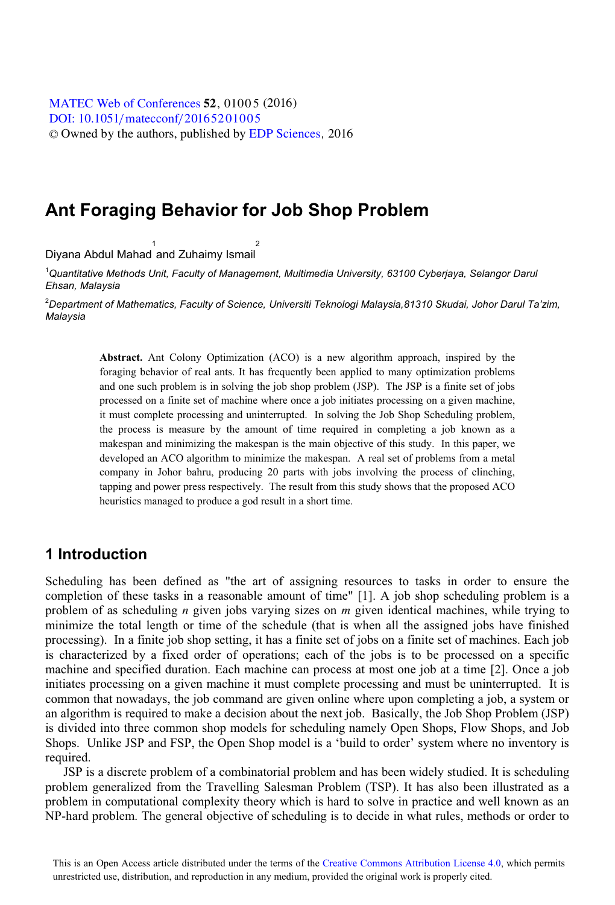[DOI: 10.1051](http://dx.doi.org/10.1051/matecconf/20165201005)/matecconf/20165201005 © Owned by the authors, published by [EDP Sciences](http://www.edpsciences.org), 2016 MATEC [Web of Conferences](http://www.matec-conferences.org) 52, 01005 (2016)

# **Ant Foraging Behavior for Job Shop Problem**

Diyana Abdul Mahad1 and Zuhaimy Ismail2

1 *Quantitative Methods Unit, Faculty of Management, Multimedia University, 63100 Cyberjaya, Selangor Darul Ehsan, Malaysia*

2 *Department of Mathematics, Faculty of Science, Universiti Teknologi Malaysia,81310 Skudai, Johor Darul Ta'zim, Malaysia*

> **Abstract.** Ant Colony Optimization (ACO) is a new algorithm approach, inspired by the foraging behavior of real ants. It has frequently been applied to many optimization problems and one such problem is in solving the job shop problem (JSP). The JSP is a finite set of jobs processed on a finite set of machine where once a job initiates processing on a given machine, it must complete processing and uninterrupted. In solving the Job Shop Scheduling problem, the process is measure by the amount of time required in completing a job known as a makespan and minimizing the makespan is the main objective of this study. In this paper, we developed an ACO algorithm to minimize the makespan. A real set of problems from a metal company in Johor bahru, producing 20 parts with jobs involving the process of clinching, tapping and power press respectively. The result from this study shows that the proposed ACO heuristics managed to produce a god result in a short time.

### **1 Introduction**

Scheduling has been defined as "the art of assigning resources to tasks in order to ensure the completion of these tasks in a reasonable amount of time" [1]. A job shop scheduling problem is a problem of as scheduling *n* given jobs varying sizes on *m* given identical machines, while trying to minimize the total length or time of the schedule (that is when all the assigned jobs have finished processing). In a finite job shop setting, it has a finite set of jobs on a finite set of machines. Each job is characterized by a fixed order of operations; each of the jobs is to be processed on a specific machine and specified duration. Each machine can process at most one job at a time [2]. Once a job initiates processing on a given machine it must complete processing and must be uninterrupted. It is common that nowadays, the job command are given online where upon completing a job, a system or an algorithm is required to make a decision about the next job. Basically, the Job Shop Problem (JSP) is divided into three common shop models for scheduling namely Open Shops, Flow Shops, and Job Shops. Unlike JSP and FSP, the Open Shop model is a 'build to order' system where no inventory is required.

JSP is a discrete problem of a combinatorial problem and has been widely studied. It is scheduling problem generalized from the Travelling Salesman Problem (TSP). It has also been illustrated as a problem in computational complexity theory which is hard to solve in practice and well known as an NP-hard problem. The general objective of scheduling is to decide in what rules, methods or order to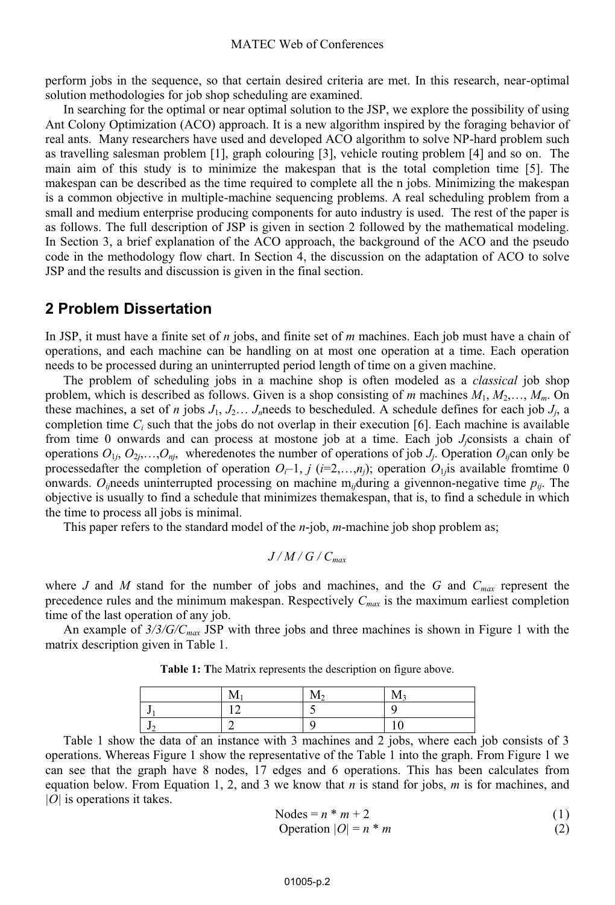perform jobs in the sequence, so that certain desired criteria are met. In this research, near-optimal solution methodologies for job shop scheduling are examined.

In searching for the optimal or near optimal solution to the JSP, we explore the possibility of using Ant Colony Optimization (ACO) approach. It is a new algorithm inspired by the foraging behavior of real ants. Many researchers have used and developed ACO algorithm to solve NP-hard problem such as travelling salesman problem [1], graph colouring [3], vehicle routing problem [4] and so on. The main aim of this study is to minimize the makespan that is the total completion time [5]. The makespan can be described as the time required to complete all the n jobs. Minimizing the makespan is a common objective in multiple-machine sequencing problems. A real scheduling problem from a small and medium enterprise producing components for auto industry is used. The rest of the paper is as follows. The full description of JSP is given in section 2 followed by the mathematical modeling. In Section 3, a brief explanation of the ACO approach, the background of the ACO and the pseudo code in the methodology flow chart. In Section 4, the discussion on the adaptation of ACO to solve JSP and the results and discussion is given in the final section.

### **2 Problem Dissertation**

In JSP, it must have a finite set of *n* jobs, and finite set of *m* machines. Each job must have a chain of operations, and each machine can be handling on at most one operation at a time. Each operation needs to be processed during an uninterrupted period length of time on a given machine.

The problem of scheduling jobs in a machine shop is often modeled as a *classical* job shop problem, which is described as follows. Given is a shop consisting of *m* machines *M*1, *M*2,…, *Mm*. On these machines, a set of *n* jobs  $J_1, J_2, \ldots, J_n$  needs to bescheduled. A schedule defines for each job  $J_i$ , a completion time  $C_i$  such that the jobs do not overlap in their execution [6]. Each machine is available from time 0 onwards and can process at mostone job at a time. Each job *Jj*consists a chain of operations  $O_{1j}, O_{2j}, \ldots, O_{nj}$ , wheredenotes the number of operations of job  $J_j$ . Operation  $O_{ij}$ can only be processedafter the completion of operation  $O_i-1$ ,  $j$  ( $i=2,...,n_j$ ); operation  $O_{1j}$  is available from time 0 onwards.  $O_i$  needs uninterrupted processing on machine m<sub>ij</sub>during a givennon-negative time  $p_{ij}$ . The objective is usually to find a schedule that minimizes themakespan, that is, to find a schedule in which the time to process all jobs is minimal.

This paper refers to the standard model of the *n*-job, *m*-machine job shop problem as;

$$
J/M/G/C_{\text{max}}
$$

where *J* and *M* stand for the number of jobs and machines, and the *G* and  $C_{max}$  represent the precedence rules and the minimum makespan. Respectively *Cmax* is the maximum earliest completion time of the last operation of any job.

An example of *3/3/G/Cmax* JSP with three jobs and three machines is shown in Figure 1 with the matrix description given in Table 1.

|        | . | ∸ |
|--------|---|---|
| $\sim$ |   |   |
| - 1    |   |   |

**Table 1: T**he Matrix represents the description on figure above.

Table 1 show the data of an instance with 3 machines and 2 jobs, where each job consists of 3 operations. Whereas Figure 1 show the representative of the Table 1 into the graph. From Figure 1 we can see that the graph have 8 nodes, 17 edges and 6 operations. This has been calculates from equation below. From Equation 1, 2, and 3 we know that *n* is stand for jobs, *m* is for machines, and *|O|* is operations it takes.

$$
Nodes = n * m + 2
$$
 (1)

Operation  $|O| = n * m$  (2)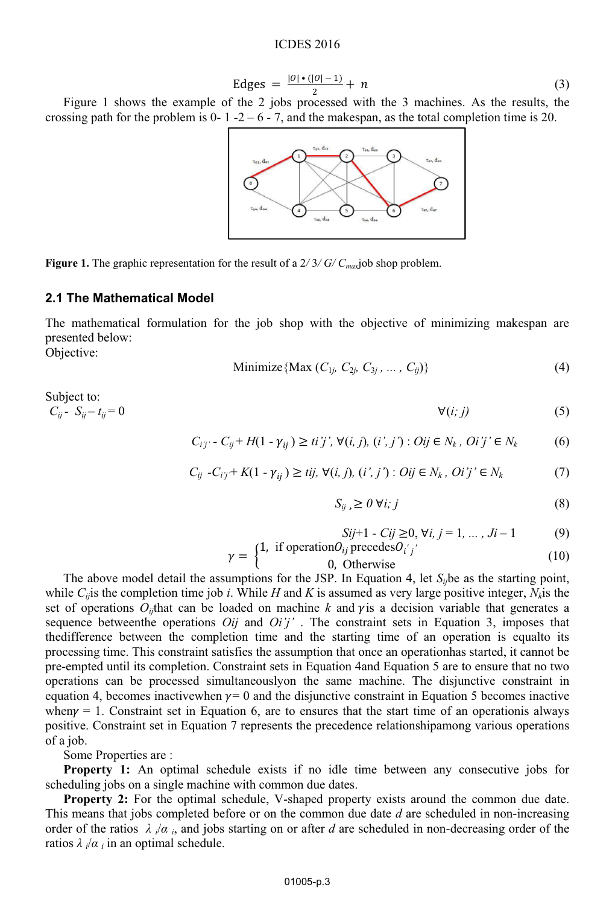#### ICDES 2016

$$
\text{Edges} = \frac{|0| \cdot (|0| - 1)}{2} + n \tag{3}
$$

Figure 1 shows the example of the 2 jobs processed with the 3 machines. As the results, the crossing path for the problem is 0*-* 1 *-*2 *–* 6 *-* 7, and the makespan, as the total completion time is 20.



**Figure 1.** The graphic representation for the result of a 2/3/ G/  $C_{max}$ job shop problem.

#### **2.1 The Mathematical Model**

The mathematical formulation for the job shop with the objective of minimizing makespan are presented below: Objective:

Minimize 
$$
\{Max(C_{1j}, C_{2j}, C_{3j}, \dots, C_{ij})\}
$$
 (4)

Subject to: *Cij- Sij – tij* = 0 ∀(*i; j)* (5)

$$
C_{ij'} - C_{ij} + H(1 - \gamma_{ij}) \geq ti'j', \forall (i, j), (i', j') : Oij \in N_k, Oij' \in N_k
$$
 (6)

$$
C_{ij} - C_{ij} + K(1 - \gamma_{ij}) \geq tij, \ \forall (i, j), \ (i', j') : Oij \in N_k, \ Oij' \in N_k
$$
 (7)

$$
S_{ij} \ge 0 \,\forall i; j \tag{8}
$$

$$
Sij+1 - Cij \ge 0, \forall i, j = 1, ..., Ji-1
$$
 (9)

 $\gamma = \begin{cases} 1, & \text{if operation} \frac{\partial_{ij}}{\partial} \text{ precedes} \frac{\partial_{i'j'}}{\partial} \\ 0, & \text{Otherwise} \end{cases}$  (10)

The above model detail the assumptions for the JSP. In Equation 4, let  $S_{ij}$ be as the starting point, while  $C_{ij}$  is the completion time job *i*. While *H* and *K* is assumed as very large positive integer,  $N_k$  is the set of operations  $O_{ii}$ that can be loaded on machine k and y is a decision variable that generates a sequence between the operations  $Oij$  and  $Oij'$ . The constraint sets in Equation 3, imposes that thedifference between the completion time and the starting time of an operation is equalto its processing time. This constraint satisfies the assumption that once an operationhas started, it cannot be pre-empted until its completion. Constraint sets in Equation 4and Equation 5 are to ensure that no two operations can be processed simultaneouslyon the same machine. The disjunctive constraint in equation 4, becomes inactivewhen  $y = 0$  and the disjunctive constraint in Equation 5 becomes inactive when  $v = 1$ . Constraint set in Equation 6, are to ensures that the start time of an operationis always positive. Constraint set in Equation 7 represents the precedence relationshipamong various operations of a job.

Some Properties are :

**Property 1:** An optimal schedule exists if no idle time between any consecutive jobs for scheduling jobs on a single machine with common due dates.

**Property 2:** For the optimal schedule, V-shaped property exists around the common due date. This means that jobs completed before or on the common due date *d* are scheduled in non-increasing order of the ratios  $\lambda / \alpha$ , and jobs starting on or after *d* are scheduled in non-decreasing order of the ratios  $\lambda_i/\alpha_i$  in an optimal schedule.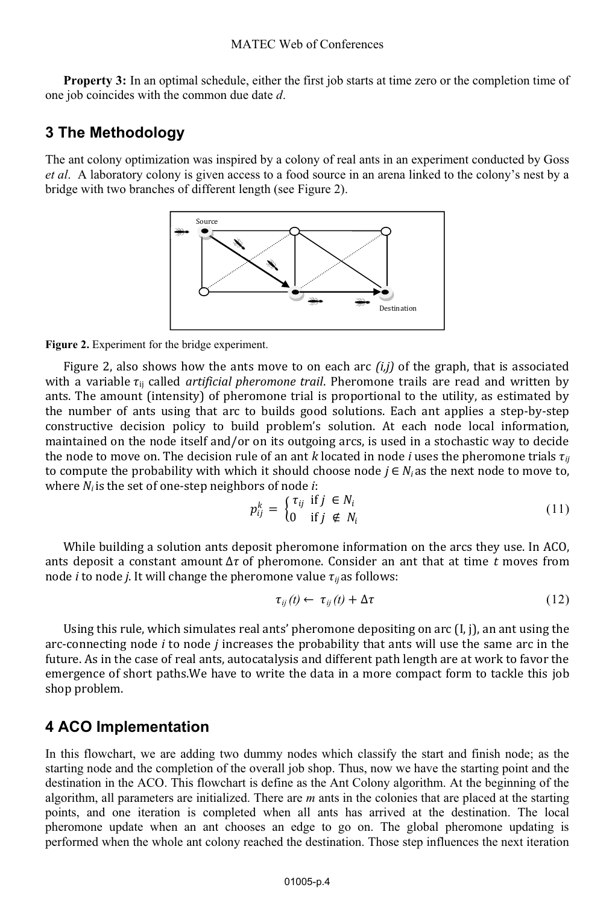**Property 3:** In an optimal schedule, either the first job starts at time zero or the completion time of one job coincides with the common due date *d*.

## **3 The Methodology**

The ant colony optimization was inspired by a colony of real ants in an experiment conducted by Goss *et al*. A laboratory colony is given access to a food source in an arena linked to the colony's nest by a bridge with two branches of different length (see Figure 2).





Figure 2, also shows how the ants move to on each arc *(i,j)* of the graph, that is associated with a variable  $\tau_{ij}$  called *artificial pheromone trail*. Pheromone trails are read and written by ants. The amount (intensity) of pheromone trial is proportional to the utility, as estimated by the number of ants using that arc to builds good solutions. Each ant applies a step-by-step constructive decision policy to build problem's solution. At each node local information, maintained on the node itself and/or on its outgoing arcs, is used in a stochastic way to decide the node to move on. The decision rule of an ant *k* located in node *i* uses the pheromone trials  $\tau_{ij}$ to compute the probability with which it should choose node  $j \in N_i$  as the next node to move to, where *Ni* is the set of one-step neighbors of node *i*:

$$
p_{ij}^k = \begin{cases} \tau_{ij} & \text{if } j \in N_i \\ 0 & \text{if } j \notin N_i \end{cases}
$$
 (11)

While building a solution ants deposit pheromone information on the arcs they use. In ACO, ants deposit a constant amount  $\Delta \tau$  of pheromone. Consider an ant that at time *t* moves from node *i* to node *j*. It will change the pheromone value  $\tau_{ii}$  as follows:

$$
\tau_{ij}(t) \leftarrow \tau_{ij}(t) + \Delta \tau \tag{12}
$$

Using this rule, which simulates real ants' pheromone depositing on arc (I, j), an ant using the arc-connecting node *i* to node *j* increases the probability that ants will use the same arc in the future. As in the case of real ants, autocatalysis and different path length are at work to favor the emergence of short paths.We have to write the data in a more compact form to tackle this job shop problem.

### **4 ACO Implementation**

In this flowchart, we are adding two dummy nodes which classify the start and finish node; as the starting node and the completion of the overall job shop. Thus, now we have the starting point and the destination in the ACO. This flowchart is define as the Ant Colony algorithm. At the beginning of the algorithm, all parameters are initialized. There are *m* ants in the colonies that are placed at the starting points, and one iteration is completed when all ants has arrived at the destination. The local pheromone update when an ant chooses an edge to go on. The global pheromone updating is performed when the whole ant colony reached the destination. Those step influences the next iteration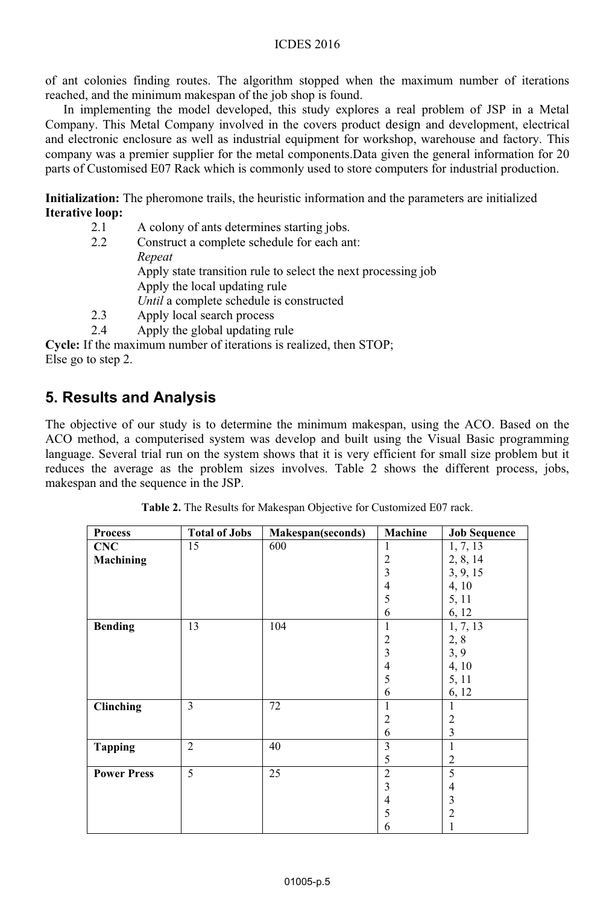of ant colonies finding routes. The algorithm stopped when the maximum number of iterations reached, and the minimum makespan of the job shop is found.

In implementing the model developed, this study explores a real problem of JSP in a Metal Company. This Metal Company involved in the covers product design and development, electrical and electronic enclosure as well as industrial equipment for workshop, warehouse and factory. This company was a premier supplier for the metal components.Data given the general information for 20 parts of Customised E07 Rack which is commonly used to store computers for industrial production.

**Initialization:** The pheromone trails, the heuristic information and the parameters are initialized **Iterative loop:**

| 2.1 | A colony of ants determines starting jobs.                    |
|-----|---------------------------------------------------------------|
| 2.2 | Construct a complete schedule for each ant:                   |
|     | Repeat                                                        |
|     | Apply state transition rule to select the next processing job |
|     | Apply the local updating rule                                 |
|     | Until a complete schedule is constructed                      |
| 2.3 | Apply local search process                                    |
| 2.4 | Apply the global updating rule                                |

**Cycle:** If the maximum number of iterations is realized, then STOP; Else go to step 2.

## **5. Results and Analysis**

The objective of our study is to determine the minimum makespan, using the ACO. Based on the ACO method, a computerised system was develop and built using the Visual Basic programming language. Several trial run on the system shows that it is very efficient for small size problem but it reduces the average as the problem sizes involves. Table 2 shows the different process, jobs, makespan and the sequence in the JSP.

| <b>Process</b>     | <b>Total of Jobs</b> | Makespan(seconds) | Machine          | <b>Job Sequence</b> |
|--------------------|----------------------|-------------------|------------------|---------------------|
| <b>CNC</b>         | 15                   | 600               | 1                | 1, 7, 13            |
| Machining          |                      |                   | $\overline{c}$   | 2, 8, 14            |
|                    |                      |                   | 3                | 3, 9, 15            |
|                    |                      |                   | 4                | 4, 10               |
|                    |                      |                   | 5                | 5, 11               |
|                    |                      |                   | 6                | 6, 12               |
| <b>Bending</b>     | 13                   | 104               | $\mathbf{1}$     | 1, 7, 13            |
|                    |                      |                   | $\boldsymbol{2}$ | 2,8                 |
|                    |                      |                   | 3                | 3, 9                |
|                    |                      |                   | 4                | 4, 10               |
|                    |                      |                   | 5                | 5, 11               |
|                    |                      |                   | 6                | 6, 12               |
| <b>Clinching</b>   | 3                    | 72                | 1                | 1                   |
|                    |                      |                   | $\overline{2}$   | $\overline{2}$      |
|                    |                      |                   | 6                | 3                   |
| <b>Tapping</b>     | 2                    | 40                | $\overline{3}$   | 1                   |
|                    |                      |                   | 5                | 2                   |
| <b>Power Press</b> | 5                    | 25                | $\sqrt{2}$       | 5                   |
|                    |                      |                   | 3                | 4                   |
|                    |                      |                   | 4                | 3                   |
|                    |                      |                   | 5                | $\overline{2}$      |
|                    |                      |                   | 6                |                     |

**Table 2.** The Results for Makespan Objective for Customized E07 rack.